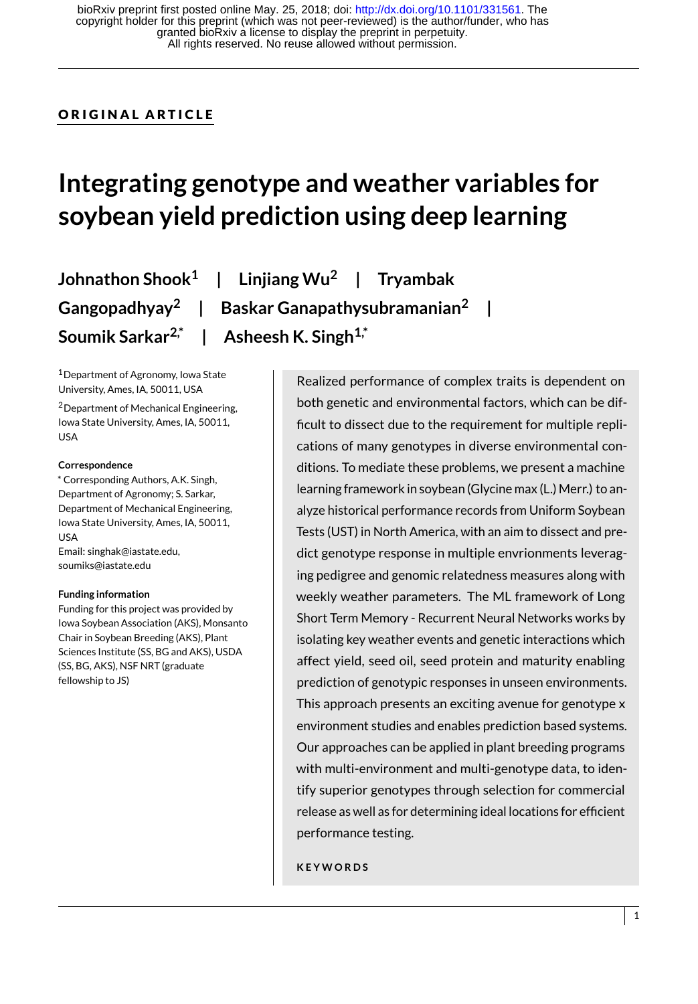# ORIGINAL ARTICLE

# **Integrating genotype and weather variables for soybean yield prediction using deep learning**

**Johnathon Shook<sup>1</sup> | Linjiang Wu<sup>2</sup> | Tryambak Gangopadhyay<sup>2</sup> | Baskar Ganapathysubramanian<sup>2</sup> | Soumik Sarkar2,\* | Asheesh K. Singh1,\***

<sup>1</sup>Department of Agronomy, Iowa State University, Ames, IA, 50011, USA

<sup>2</sup>Department of Mechanical Engineering, Iowa State University, Ames, IA, 50011, USA

#### **Correspondence**

\* Corresponding Authors, A.K. Singh, Department of Agronomy; S. Sarkar, Department of Mechanical Engineering, Iowa State University, Ames, IA, 50011, USA Email: singhak@iastate.edu, soumiks@iastate.edu

#### **Funding information**

Funding for this project was provided by Iowa Soybean Association (AKS), Monsanto Chair in Soybean Breeding (AKS), Plant Sciences Institute (SS, BG and AKS), USDA (SS, BG, AKS), NSF NRT (graduate fellowship to JS)

Realized performance of complex traits is dependent on both genetic and environmental factors, which can be difficult to dissect due to the requirement for multiple replications of many genotypes in diverse environmental conditions. To mediate these problems, we present a machine learning framework in soybean (Glycine max (L.) Merr.) to analyze historical performance records from Uniform Soybean Tests (UST) in North America, with an aim to dissect and predict genotype response in multiple envrionments leveraging pedigree and genomic relatedness measures along with weekly weather parameters. The ML framework of Long Short Term Memory - Recurrent Neural Networks works by isolating key weather events and genetic interactions which affect yield, seed oil, seed protein and maturity enabling prediction of genotypic responses in unseen environments. This approach presents an exciting avenue for genotype x environment studies and enables prediction based systems. Our approaches can be applied in plant breeding programs with multi-environment and multi-genotype data, to identify superior genotypes through selection for commercial release as well as for determining ideal locations for efficient performance testing.

**K E Y W O R D S**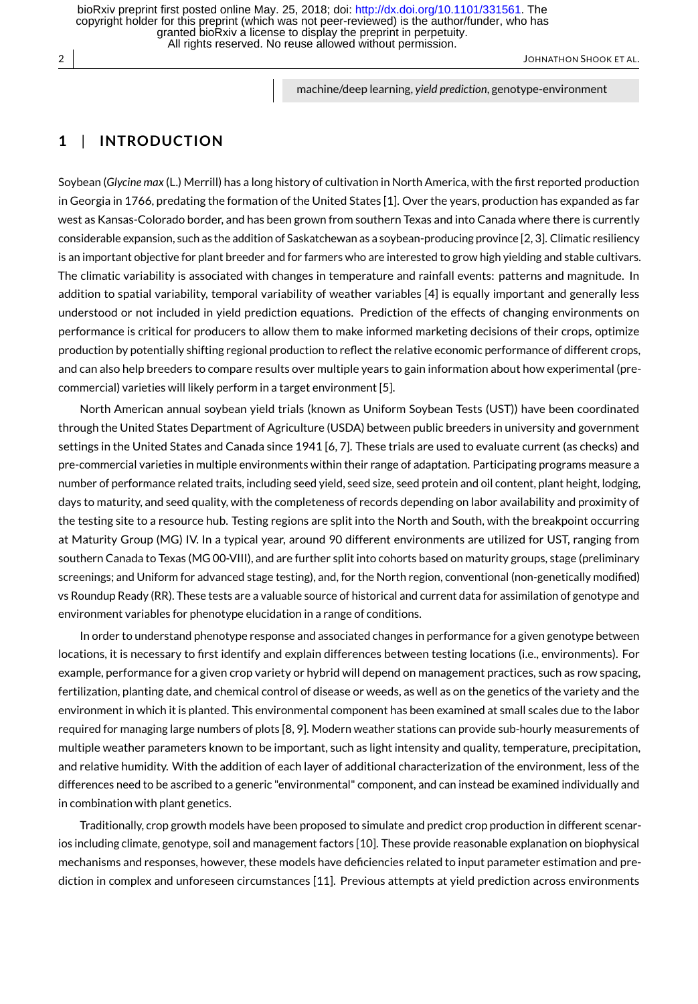All rights reserved. No reuse allowed without permission. granted bioRxiv a license to display the preprint in perpetuity. copyright holder for this preprint (which was not peer-reviewed) is the author/funder, who has bioRxiv preprint first posted online May. 25, 2018; doi:<http://dx.doi.org/10.1101/331561>. The

2 JOHNATHON SHOOK ET AL.

machine/deep learning, *yield prediction*, genotype-environment

# **1** | **INTRODUCT ION**

Soybean (*Glycine max* (L.) Merrill) has a long history of cultivation in North America, with the first reported production in Georgia in 1766, predating the formation of the United States [1]. Over the years, production has expanded as far west as Kansas-Colorado border, and has been grown from southern Texas and into Canada where there is currently considerable expansion, such as the addition of Saskatchewan as a soybean-producing province [2, 3]. Climatic resiliency is an important objective for plant breeder and for farmers who are interested to grow high yielding and stable cultivars. The climatic variability is associated with changes in temperature and rainfall events: patterns and magnitude. In addition to spatial variability, temporal variability of weather variables [4] is equally important and generally less understood or not included in yield prediction equations. Prediction of the effects of changing environments on performance is critical for producers to allow them to make informed marketing decisions of their crops, optimize production by potentially shifting regional production to reflect the relative economic performance of different crops, and can also help breeders to compare results over multiple years to gain information about how experimental (precommercial) varieties will likely perform in a target environment [5].

North American annual soybean yield trials (known as Uniform Soybean Tests (UST)) have been coordinated through the United States Department of Agriculture (USDA) between public breeders in university and government settings in the United States and Canada since 1941 [6, 7]. These trials are used to evaluate current (as checks) and pre-commercial varieties in multiple environments within their range of adaptation. Participating programs measure a number of performance related traits, including seed yield, seed size, seed protein and oil content, plant height, lodging, days to maturity, and seed quality, with the completeness of records depending on labor availability and proximity of the testing site to a resource hub. Testing regions are split into the North and South, with the breakpoint occurring at Maturity Group (MG) IV. In a typical year, around 90 different environments are utilized for UST, ranging from southern Canada to Texas (MG 00-VIII), and are further split into cohorts based on maturity groups, stage (preliminary screenings; and Uniform for advanced stage testing), and, for the North region, conventional (non-genetically modified) vs Roundup Ready (RR). These tests are a valuable source of historical and current data for assimilation of genotype and environment variables for phenotype elucidation in a range of conditions.

In order to understand phenotype response and associated changes in performance for a given genotype between locations, it is necessary to first identify and explain differences between testing locations (i.e., environments). For example, performance for a given crop variety or hybrid will depend on management practices, such as row spacing, fertilization, planting date, and chemical control of disease or weeds, as well as on the genetics of the variety and the environment in which it is planted. This environmental component has been examined at small scales due to the labor required for managing large numbers of plots [8, 9]. Modern weather stations can provide sub-hourly measurements of multiple weather parameters known to be important, such as light intensity and quality, temperature, precipitation, and relative humidity. With the addition of each layer of additional characterization of the environment, less of the differences need to be ascribed to a generic "environmental" component, and can instead be examined individually and in combination with plant genetics.

Traditionally, crop growth models have been proposed to simulate and predict crop production in different scenarios including climate, genotype, soil and management factors [10]. These provide reasonable explanation on biophysical mechanisms and responses, however, these models have deficiencies related to input parameter estimation and prediction in complex and unforeseen circumstances [11]. Previous attempts at yield prediction across environments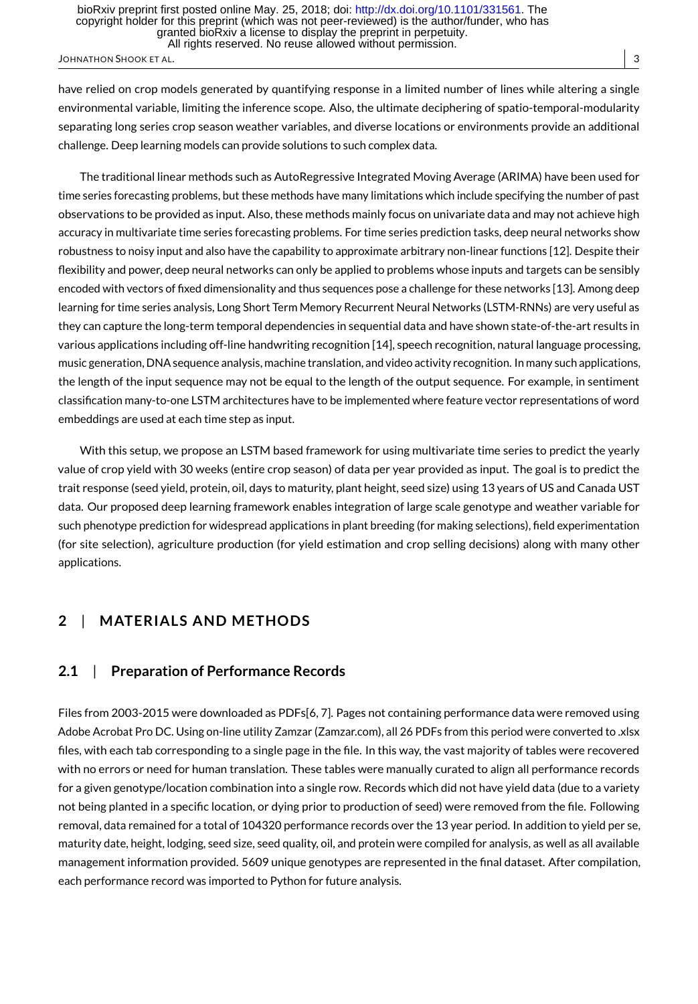have relied on crop models generated by quantifying response in a limited number of lines while altering a single environmental variable, limiting the inference scope. Also, the ultimate deciphering of spatio-temporal-modularity separating long series crop season weather variables, and diverse locations or environments provide an additional challenge. Deep learning models can provide solutions to such complex data.

The traditional linear methods such as AutoRegressive Integrated Moving Average (ARIMA) have been used for time series forecasting problems, but these methods have many limitations which include specifying the number of past observations to be provided as input. Also, these methods mainly focus on univariate data and may not achieve high accuracy in multivariate time series forecasting problems. For time series prediction tasks, deep neural networks show robustness to noisy input and also have the capability to approximate arbitrary non-linear functions [12]. Despite their flexibility and power, deep neural networks can only be applied to problems whose inputs and targets can be sensibly encoded with vectors of fixed dimensionality and thus sequences pose a challenge for these networks [13]. Among deep learning for time series analysis, Long Short Term Memory Recurrent Neural Networks (LSTM-RNNs) are very useful as they can capture the long-term temporal dependencies in sequential data and have shown state-of-the-art results in various applications including off-line handwriting recognition [14], speech recognition, natural language processing, music generation, DNA sequence analysis, machine translation, and video activity recognition. In many such applications, the length of the input sequence may not be equal to the length of the output sequence. For example, in sentiment classification many-to-one LSTM architectures have to be implemented where feature vector representations of word embeddings are used at each time step as input.

With this setup, we propose an LSTM based framework for using multivariate time series to predict the yearly value of crop yield with 30 weeks (entire crop season) of data per year provided as input. The goal is to predict the trait response (seed yield, protein, oil, days to maturity, plant height, seed size) using 13 years of US and Canada UST data. Our proposed deep learning framework enables integration of large scale genotype and weather variable for such phenotype prediction for widespread applications in plant breeding (for making selections), field experimentation (for site selection), agriculture production (for yield estimation and crop selling decisions) along with many other applications.

# **2** | **MATER IALS AND METHODS**

## **2.1** | **Preparation of Performance Records**

Files from 2003-2015 were downloaded as PDFs[6, 7]. Pages not containing performance data were removed using Adobe Acrobat Pro DC. Using on-line utility Zamzar (Zamzar.com), all 26 PDFs from this period were converted to .xlsx files, with each tab corresponding to a single page in the file. In this way, the vast majority of tables were recovered with no errors or need for human translation. These tables were manually curated to align all performance records for a given genotype/location combination into a single row. Records which did not have yield data (due to a variety not being planted in a specific location, or dying prior to production of seed) were removed from the file. Following removal, data remained for a total of 104320 performance records over the 13 year period. In addition to yield per se, maturity date, height, lodging, seed size, seed quality, oil, and protein were compiled for analysis, as well as all available management information provided. 5609 unique genotypes are represented in the final dataset. After compilation, each performance record was imported to Python for future analysis.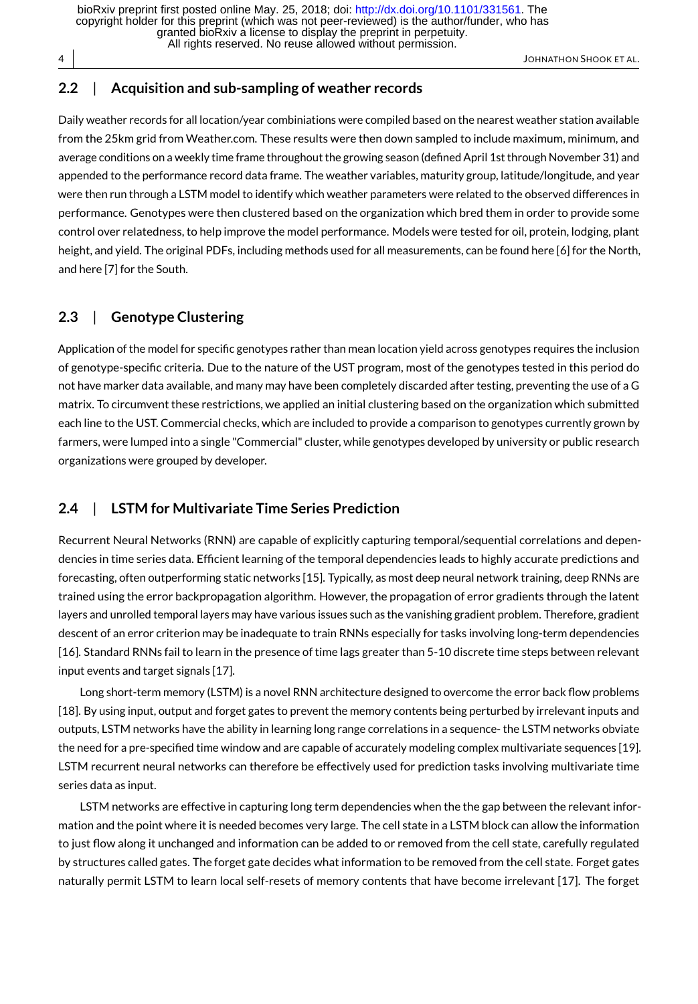All rights reserved. No reuse allowed without permission. granted bioRxiv a license to display the preprint in perpetuity. copyright holder for this preprint (which was not peer-reviewed) is the author/funder, who has bioRxiv preprint first posted online May. 25, 2018; doi:<http://dx.doi.org/10.1101/331561>. The

JOHNATHON SHOOK ET AL.

## **2.2** | **Acquisition and sub-sampling of weather records**

Daily weather records for all location/year combiniations were compiled based on the nearest weather station available from the 25km grid from Weather.com. These results were then down sampled to include maximum, minimum, and average conditions on a weekly time frame throughout the growing season (defined April 1st through November 31) and appended to the performance record data frame. The weather variables, maturity group, latitude/longitude, and year were then run through a LSTM model to identify which weather parameters were related to the observed differences in performance. Genotypes were then clustered based on the organization which bred them in order to provide some control over relatedness, to help improve the model performance. Models were tested for oil, protein, lodging, plant height, and yield. The original PDFs, including methods used for all measurements, can be found here [6] for the North, and here [7] for the South.

## **2.3** | **Genotype Clustering**

Application of the model for specific genotypes rather than mean location yield across genotypes requires the inclusion of genotype-specific criteria. Due to the nature of the UST program, most of the genotypes tested in this period do not have marker data available, and many may have been completely discarded after testing, preventing the use of a G matrix. To circumvent these restrictions, we applied an initial clustering based on the organization which submitted each line to the UST. Commercial checks, which are included to provide a comparison to genotypes currently grown by farmers, were lumped into a single "Commercial" cluster, while genotypes developed by university or public research organizations were grouped by developer.

## **2.4** | **LSTM for Multivariate Time Series Prediction**

Recurrent Neural Networks (RNN) are capable of explicitly capturing temporal/sequential correlations and dependencies in time series data. Efficient learning of the temporal dependencies leads to highly accurate predictions and forecasting, often outperforming static networks [15]. Typically, as most deep neural network training, deep RNNs are trained using the error backpropagation algorithm. However, the propagation of error gradients through the latent layers and unrolled temporal layers may have various issues such as the vanishing gradient problem. Therefore, gradient descent of an error criterion may be inadequate to train RNNs especially for tasks involving long-term dependencies [16]. Standard RNNs fail to learn in the presence of time lags greater than 5-10 discrete time steps between relevant input events and target signals [17].

Long short-term memory (LSTM) is a novel RNN architecture designed to overcome the error back flow problems [18]. By using input, output and forget gates to prevent the memory contents being perturbed by irrelevant inputs and outputs, LSTM networks have the ability in learning long range correlations in a sequence- the LSTM networks obviate the need for a pre-specified time window and are capable of accurately modeling complex multivariate sequences [19]. LSTM recurrent neural networks can therefore be effectively used for prediction tasks involving multivariate time series data as input.

LSTM networks are effective in capturing long term dependencies when the the gap between the relevant information and the point where it is needed becomes very large. The cell state in a LSTM block can allow the information to just flow along it unchanged and information can be added to or removed from the cell state, carefully regulated by structures called gates. The forget gate decides what information to be removed from the cell state. Forget gates naturally permit LSTM to learn local self-resets of memory contents that have become irrelevant [17]. The forget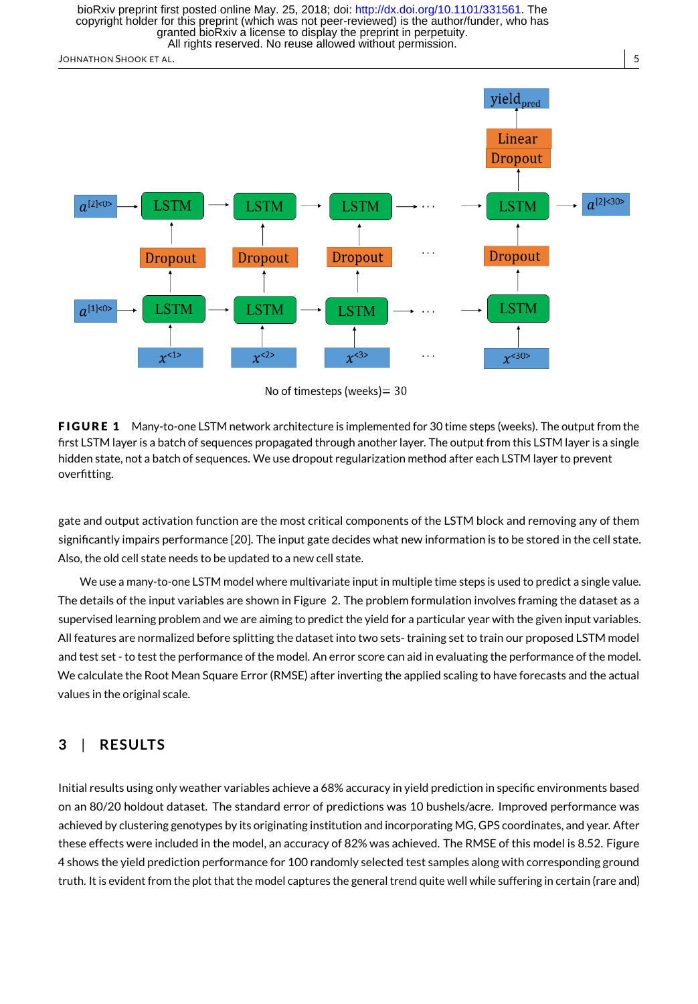All rights reserved. No reuse allowed without permission. granted bioRxiv a license to display the preprint in perpetuity. copyright holder for this preprint (which was not peer-reviewed) is the author/funder, who has bioRxiv preprint first posted online May. 25, 2018; doi:<http://dx.doi.org/10.1101/331561>. The

JOHNATHON SHOOK ET AL. 5



**FIGURE 1** Many-to-one LSTM network architecture is implemented for 30 time steps (weeks). The output from the first LSTM layer is a batch of sequences propagated through another layer. The output from this LSTM layer is a single hidden state, not a batch of sequences. We use dropout regularization method after each LSTM layer to prevent overfitting.

gate and output activation function are the most critical components of the LSTM block and removing any of them significantly impairs performance [20]. The input gate decides what new information is to be stored in the cell state. Also, the old cell state needs to be updated to a new cell state.

We use a many-to-one LSTM model where multivariate input in multiple time steps is used to predict a single value. The details of the input variables are shown in Figure 2. The problem formulation involves framing the dataset as a supervised learning problem and we are aiming to predict the yield for a particular year with the given input variables. All features are normalized before splitting the dataset into two sets- training set to train our proposed LSTM model and test set - to test the performance of the model. An error score can aid in evaluating the performance of the model. We calculate the Root Mean Square Error (RMSE) after inverting the applied scaling to have forecasts and the actual values in the original scale.

## **3** | **RESULTS**

Initial results using only weather variables achieve a 68% accuracy in yield prediction in specific environments based on an 80/20 holdout dataset. The standard error of predictions was 10 bushels/acre. Improved performance was achieved by clustering genotypes by its originating institution and incorporating MG, GPS coordinates, and year. After these effects were included in the model, an accuracy of 82% was achieved. The RMSE of this model is 8.52. Figure 4 shows the yield prediction performance for 100 randomly selected test samples along with corresponding ground truth. It is evident from the plot that the model captures the general trend quite well while suffering in certain (rare and)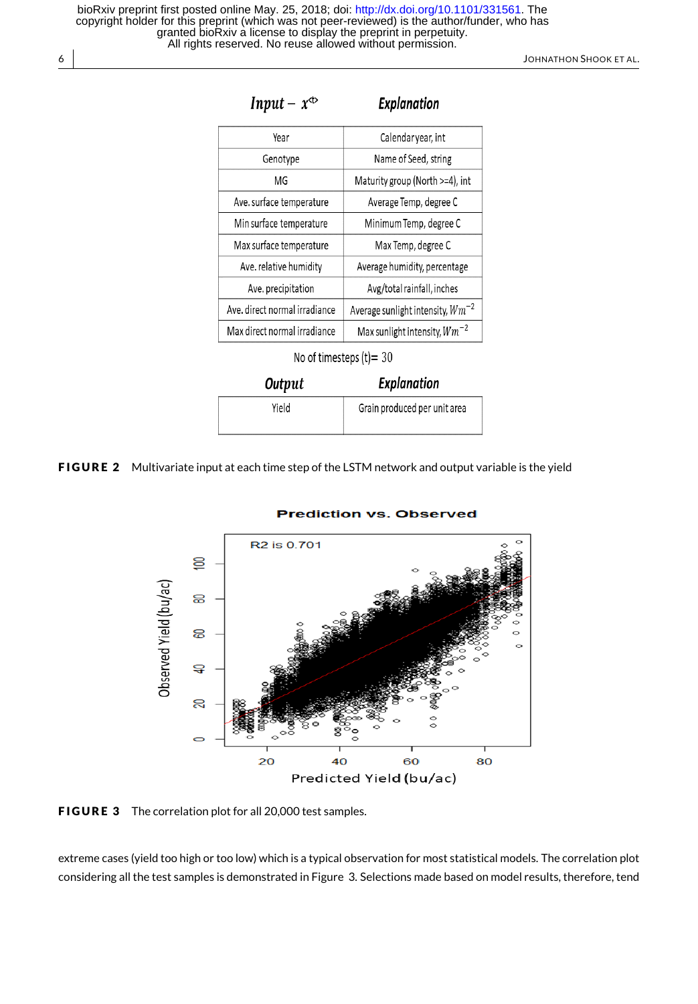6 JOHNATHON SHOOK ET AL.

| Input – $x^{\text{cb}}$       | Explanation                           |
|-------------------------------|---------------------------------------|
| Year                          | Calendaryear, int                     |
| Genotype                      | Name of Seed, string                  |
| MG                            | Maturity group (North >=4), int       |
| Ave. surface temperature      | Average Temp, degree C                |
| Min surface temperature       | Minimum Temp, degree C                |
| Max surface temperature       | Max Temp, degree C                    |
| Ave. relative humidity        | Average humidity, percentage          |
| Ave. precipitation            | Avg/total rainfall, inches            |
| Ave. direct normal irradiance | Average sunlight intensity, $Wm^{-2}$ |
| Max direct normal irradiance  | Max sunlight intensity, $Wm^{-2}$     |
|                               |                                       |

No of timesteps  $(t)$  = 30

| Output | <b>Explanation</b>           |
|--------|------------------------------|
| Yield  | Grain produced per unit area |

FIGURE 2 Multivariate input at each time step of the LSTM network and output variable is the yield



#### **Prediction vs. Observed**

FIGURE 3 The correlation plot for all 20,000 test samples.

extreme cases (yield too high or too low) which is a typical observation for most statistical models. The correlation plot considering all the test samples is demonstrated in Figure 3. Selections made based on model results, therefore, tend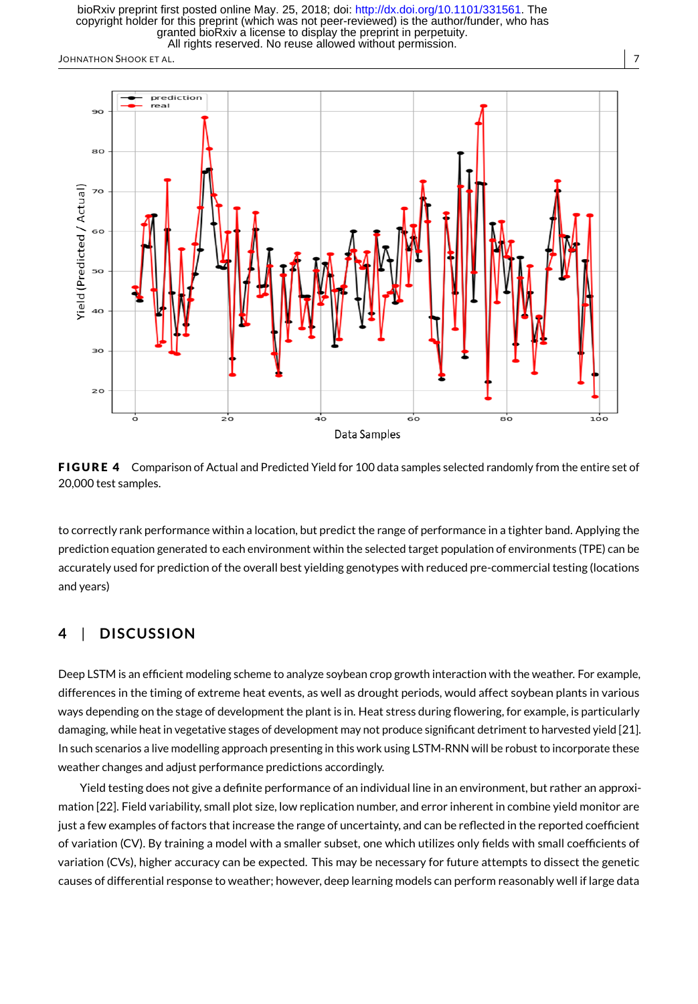All rights reserved. No reuse allowed without permission. granted bioRxiv a license to display the preprint in perpetuity. copyright holder for this preprint (which was not peer-reviewed) is the author/funder, who has bioRxiv preprint first posted online May. 25, 2018; doi:<http://dx.doi.org/10.1101/331561>. The

JOHNATHON SHOOK ET AL. 7





to correctly rank performance within a location, but predict the range of performance in a tighter band. Applying the prediction equation generated to each environment within the selected target population of environments (TPE) can be accurately used for prediction of the overall best yielding genotypes with reduced pre-commercial testing (locations and years)

### **4** | **D ISCUSS ION**

Deep LSTM is an efficient modeling scheme to analyze soybean crop growth interaction with the weather. For example, differences in the timing of extreme heat events, as well as drought periods, would affect soybean plants in various ways depending on the stage of development the plant is in. Heat stress during flowering, for example, is particularly damaging, while heat in vegetative stages of development may not produce significant detriment to harvested yield [21]. In such scenarios a live modelling approach presenting in this work using LSTM-RNN will be robust to incorporate these weather changes and adjust performance predictions accordingly.

Yield testing does not give a definite performance of an individual line in an environment, but rather an approximation [22]. Field variability, small plot size, low replication number, and error inherent in combine yield monitor are just a few examples of factors that increase the range of uncertainty, and can be reflected in the reported coefficient of variation (CV). By training a model with a smaller subset, one which utilizes only fields with small coefficients of variation (CVs), higher accuracy can be expected. This may be necessary for future attempts to dissect the genetic causes of differential response to weather; however, deep learning models can perform reasonably well if large data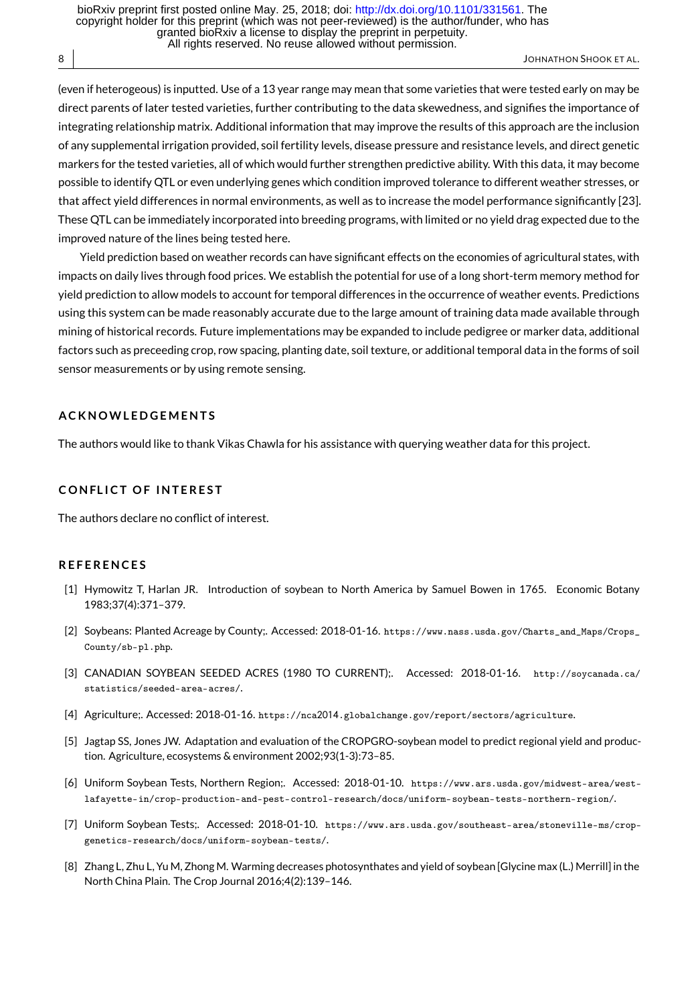(even if heterogeous) is inputted. Use of a 13 year range may mean that some varieties that were tested early on may be direct parents of later tested varieties, further contributing to the data skewedness, and signifies the importance of integrating relationship matrix. Additional information that may improve the results of this approach are the inclusion of any supplemental irrigation provided, soil fertility levels, disease pressure and resistance levels, and direct genetic markers for the tested varieties, all of which would further strengthen predictive ability. With this data, it may become possible to identify QTL or even underlying genes which condition improved tolerance to different weather stresses, or that affect yield differences in normal environments, as well as to increase the model performance significantly [23]. These QTL can be immediately incorporated into breeding programs, with limited or no yield drag expected due to the improved nature of the lines being tested here.

Yield prediction based on weather records can have significant effects on the economies of agricultural states, with impacts on daily lives through food prices. We establish the potential for use of a long short-term memory method for yield prediction to allow models to account for temporal differences in the occurrence of weather events. Predictions using this system can be made reasonably accurate due to the large amount of training data made available through mining of historical records. Future implementations may be expanded to include pedigree or marker data, additional factors such as preceeding crop, row spacing, planting date, soil texture, or additional temporal data in the forms of soil sensor measurements or by using remote sensing.

#### **A C K N OW L E D G E M E N T S**

The authors would like to thank Vikas Chawla for his assistance with querying weather data for this project.

#### **CONFLICT OF INTEREST**

The authors declare no conflict of interest.

#### **R E F E R E N C E S**

- [1] Hymowitz T, Harlan JR. Introduction of soybean to North America by Samuel Bowen in 1765. Economic Botany 1983;37(4):371–379.
- [2] Soybeans: Planted Acreage by County;. Accessed: 2018-01-16. https://www.nass.usda.gov/Charts\_and\_Maps/Crops\_ County/sb-pl.php.
- [3] CANADIAN SOYBEAN SEEDED ACRES (1980 TO CURRENT);. Accessed: 2018-01-16. http://soycanada.ca/ statistics/seeded-area-acres/.
- [4] Agriculture;. Accessed: 2018-01-16. https://nca2014.globalchange.gov/report/sectors/agriculture.
- [5] Jagtap SS, Jones JW. Adaptation and evaluation of the CROPGRO-soybean model to predict regional yield and production. Agriculture, ecosystems & environment 2002;93(1-3):73–85.
- [6] Uniform Soybean Tests, Northern Region;. Accessed: 2018-01-10. https://www.ars.usda.gov/midwest-area/westlafayette-in/crop-production-and-pest-control-research/docs/uniform-soybean-tests-northern-region/.
- [7] Uniform Soybean Tests;. Accessed: 2018-01-10. https://www.ars.usda.gov/southeast-area/stoneville-ms/cropgenetics-research/docs/uniform-soybean-tests/.
- [8] Zhang L, Zhu L, Yu M, Zhong M. Warming decreases photosynthates and yield of soybean [Glycine max (L.) Merrill] in the North China Plain. The Crop Journal 2016;4(2):139–146.